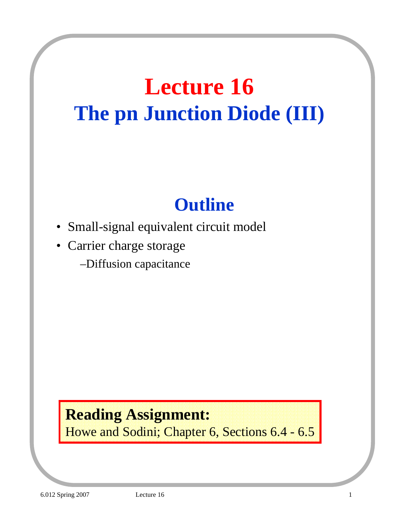## **Lecture 16 The pn Junction Diode (III)**

## **Outline**

- Small-signal equivalent circuit model
- Carrier charge storage
	- –Diffusion capacitance

## **Reading Assignment:**

Howe and Sodini; Chapter 6, Sections 6.4 - 6.5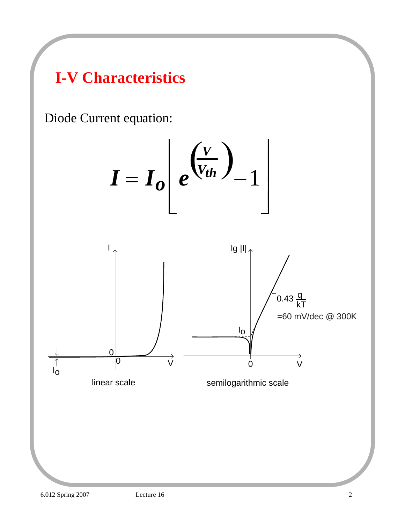## **I-V Characteristics**

Diode Current equation:

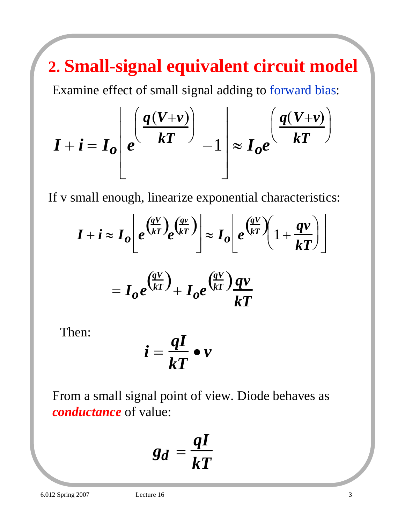## **2. Small-signal equivalent circuit model**

Examine effect of small signal adding to forward bias:

$$
I + i = I_o \left[ e^{\left( \frac{q(V + v)}{kT} \right)} - 1 \right] \approx I_o e^{\left( \frac{q(V + v)}{kT} \right)}
$$

If v small enough, linearize exponential characteristics:

$$
I + i \approx I_o \left[ e^{\left(\frac{qV}{kT}\right)} e^{\left(\frac{qv}{kT}\right)} \right] \approx I_o \left[ e^{\left(\frac{qV}{kT}\right)} \left( 1 + \frac{qv}{kT} \right) \right]
$$
  
=  $I_o e^{\left(\frac{qV}{kT}\right)} + I_o e^{\left(\frac{qV}{kT}\right)} \frac{qv}{kT}$ 

Then:

$$
i=\frac{qI}{kT}\bullet v
$$

From a small signal point of view. Diode behaves as *conductance* of value:

$$
g_d = \frac{qI}{kT}
$$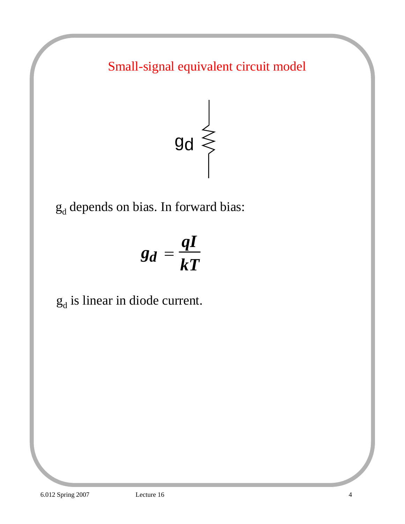Small-signal equivalent circuit model



 $g_d$  depends on bias. In forward bias:

$$
g_d = \frac{qI}{kT}
$$

 $g_d$  is linear in diode current.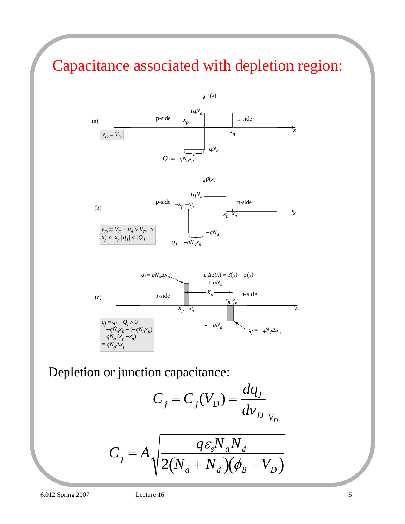## Capacitance associated with depletion region:



Depletion or junction capacitance:

$$
C_j = C_j(V_D) = \frac{dq_J}{dv_D}\bigg|_{V_D}
$$

 $\overline{1}$ 

$$
C_j = A \sqrt{\frac{q \varepsilon_s N_a N_d}{2(N_a + N_d)(\phi_B - V_D)}}
$$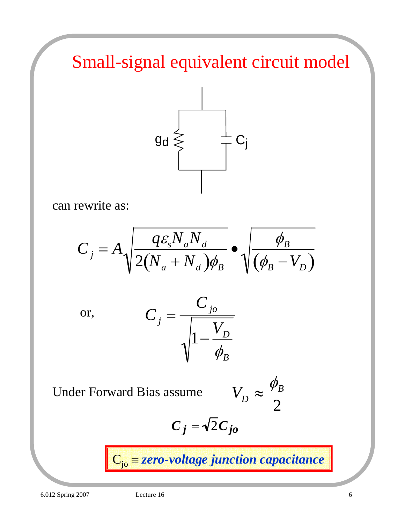Small-signal equivalent circuit model



can rewrite as:

$$
C_j = A \sqrt{\frac{q \varepsilon_s N_a N_d}{2(N_a + N_d) \phi_B}} \bullet \sqrt{\frac{\phi_B}{(\phi_B - V_D)}}
$$

or, 
$$
C_j = \frac{C_{j0}}{\sqrt{1 - \frac{V_D}{\phi_B}}}
$$

Under Forward Bias assume *V* 

$$
I_D \approx \frac{\phi_B}{2}
$$

$$
C_j = \sqrt{2} C_{jo}
$$

Cjo ≡ *zero-voltage junction capacitance*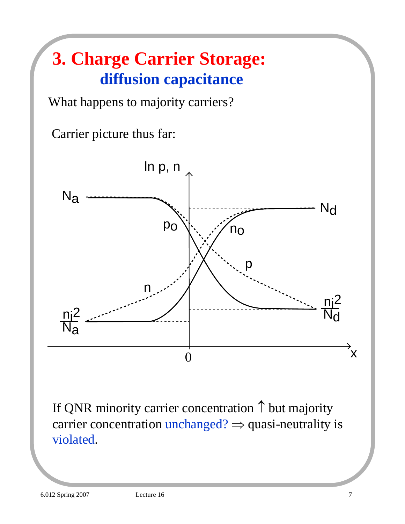## **3. Charge Carrier Storage: diffusion capacitance**

What happens to majority carriers?

Carrier picture thus far:



If QNR minority carrier concentration ↑ but majority carrier concentration unchanged?  $\Rightarrow$  quasi-neutrality is violated.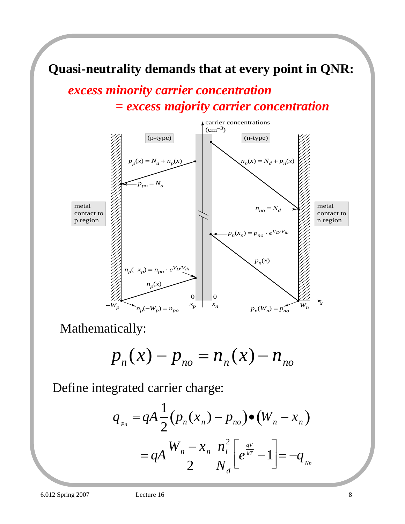#### **Quasi-neutrality demands that at every point in QNR:**

#### *excess minority carrier concentration = excess majority carrier concentration*



Mathematically:

$$
p_n(x) - p_{no} = n_n(x) - n_{no}
$$

Define integrated carrier charge:

$$
q_{P_n} = qA \frac{1}{2} (p_n(x_n) - p_{no}) \bullet (W_n - x_n)
$$
  
=  $qA \frac{W_n - x_n}{2} \frac{n_i^2}{N_d} \left[ e^{\frac{qV}{kT}} - 1 \right] = -q_{N_n}$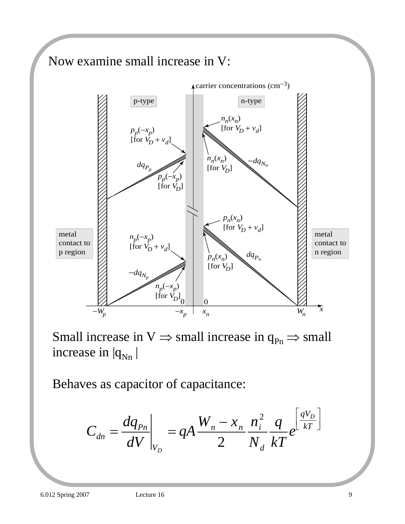

Small increase in  $V \Rightarrow$  small increase in  $q_{Pn} \Rightarrow$  small increase in  $|q_{Nn}|$ 

Behaves as capacitor of capacitance:

$$
C_{dn} = \frac{dq_{Pn}}{dV}\bigg|_{V_D} = qA \frac{W_n - x_n}{2} \frac{n_i^2}{N_d} \frac{q}{kT} e^{\frac{qV_D}{kT}}
$$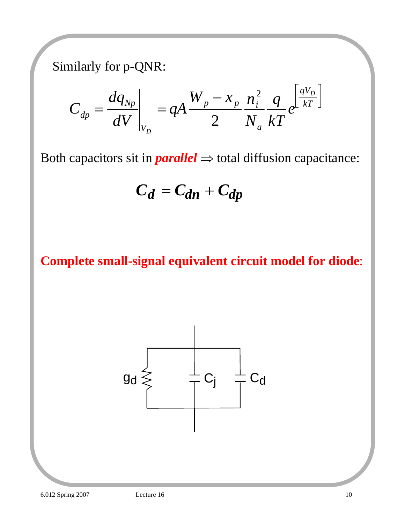Similarly for p-QNR:

$$
C_{dp} = \frac{dq_{Np}}{dV}\bigg|_{V_D} = qA \frac{W_p - x_p}{2} \frac{n_i^2}{N_a} \frac{q}{kT} e^{\frac{qV_D}{kT}}
$$

Both capacitors sit in  $parallel \Rightarrow$  total diffusion capacitance:

$$
C_d = C_{dn} + C_{dp}
$$

#### **Complete small-signal equivalent circuit model for diode**:

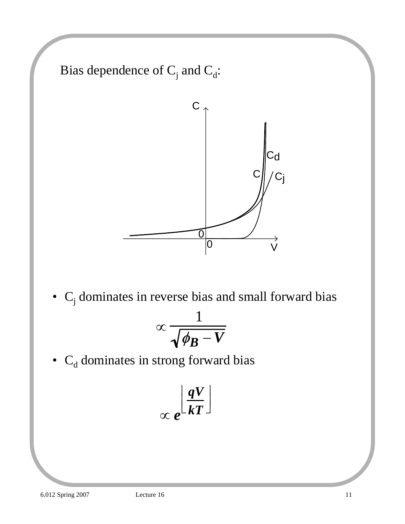Bias dependence of  $C_j$  and  $C_d$ :



•  $C_j$  dominates in reverse bias and small forward bias

$$
\propto \frac{1}{\sqrt{\phi_B - V}}
$$

•  $C_d$  dominates in strong forward bias

$$
\propto e^{\left\lfloor \frac{qV}{kT} \right\rfloor}
$$